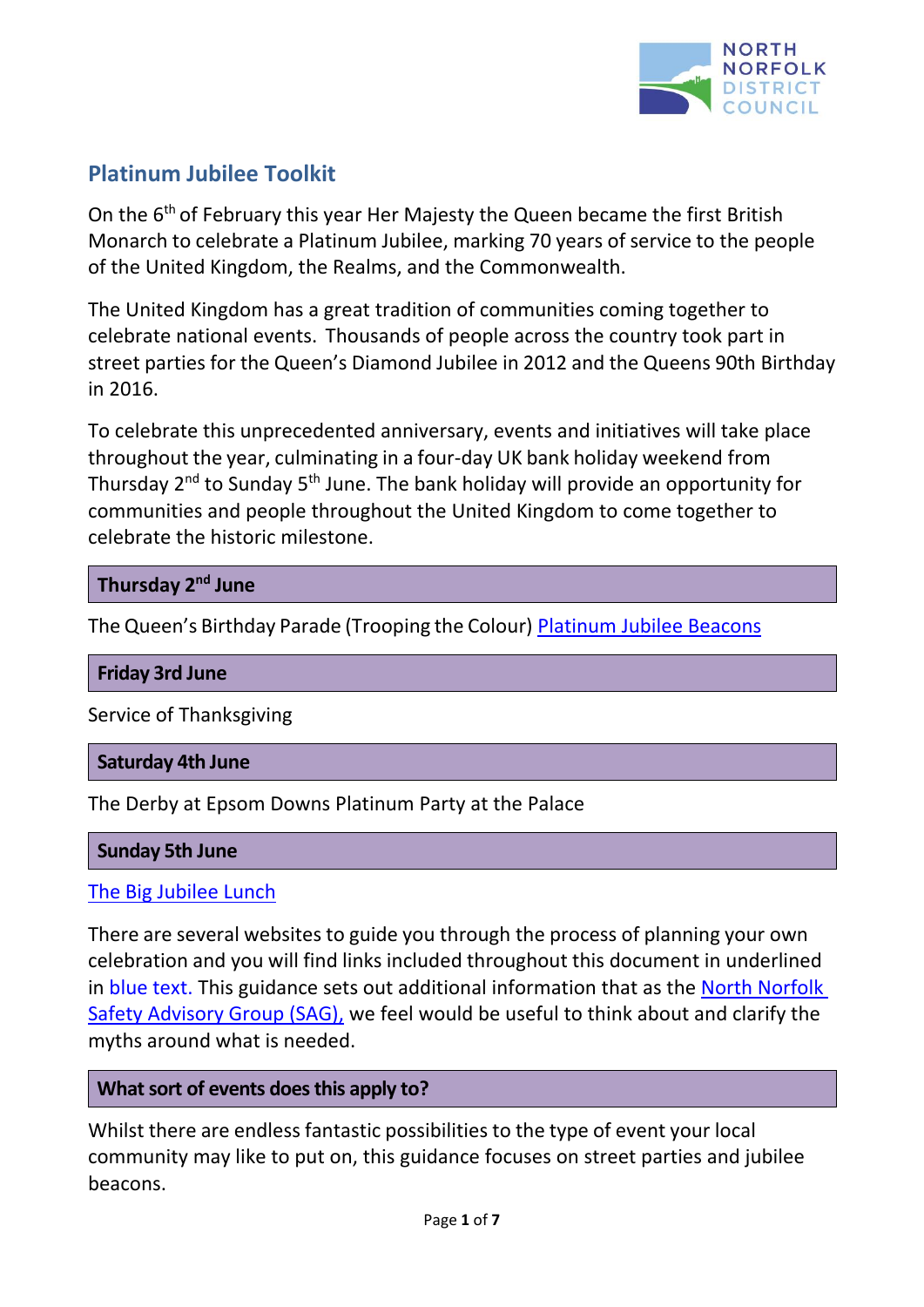

## **Platinum Jubilee Toolkit**

On the 6<sup>th</sup> of February this year Her Majesty the Queen became the first British Monarch to celebrate a Platinum Jubilee, marking 70 years of service to the people of the United Kingdom, the Realms, and the Commonwealth.

The United Kingdom has a great tradition of communities coming together to celebrate national events. Thousands of people across the country took part in street parties for the Queen's Diamond Jubilee in 2012 and the Queens 90th Birthday in 2016.

To celebrate this unprecedented anniversary, events and initiatives will take place throughout the year, culminating in a four-day UK bank holiday weekend from Thursday  $2^{nd}$  to Sunday 5<sup>th</sup> June. The bank holiday will provide an opportunity for communities and people throughout the United Kingdom to come together to celebrate the historic milestone.

## **Thursday 2 nd June**

The Queen's Birthday Parade (Trooping the Colour) [Platinum Jubilee Beacons](https://www.queensjubileebeacons.com/)

#### **Friday 3rd June**

Service of Thanksgiving

#### **Saturday 4th June**

The Derby at Epsom Downs Platinum Party at the Palace

#### **Sunday 5th June**

#### The [Big Jubilee Lunch](https://www.edenprojectcommunities.com/the-big-jubilee-lunch)

There are several websites to guide you through the process of planning your own celebration and you will find links included throughout this document in underlined in blue text. This guidance sets out additional information that as the [North Norfolk](https://www.north-norfolk.gov.uk/tasks/emergency-planning/find-out-about-organising-events/)  [Safety Advisory Group \(SAG\),](https://www.north-norfolk.gov.uk/tasks/emergency-planning/find-out-about-organising-events/) we feel would be useful to think about and clarify the myths around what is needed.

## **Whatsort of events doesthis apply to?**

Whilst there are endless fantastic possibilities to the type of event your local community may like to put on, this guidance focuses on street parties and jubilee beacons.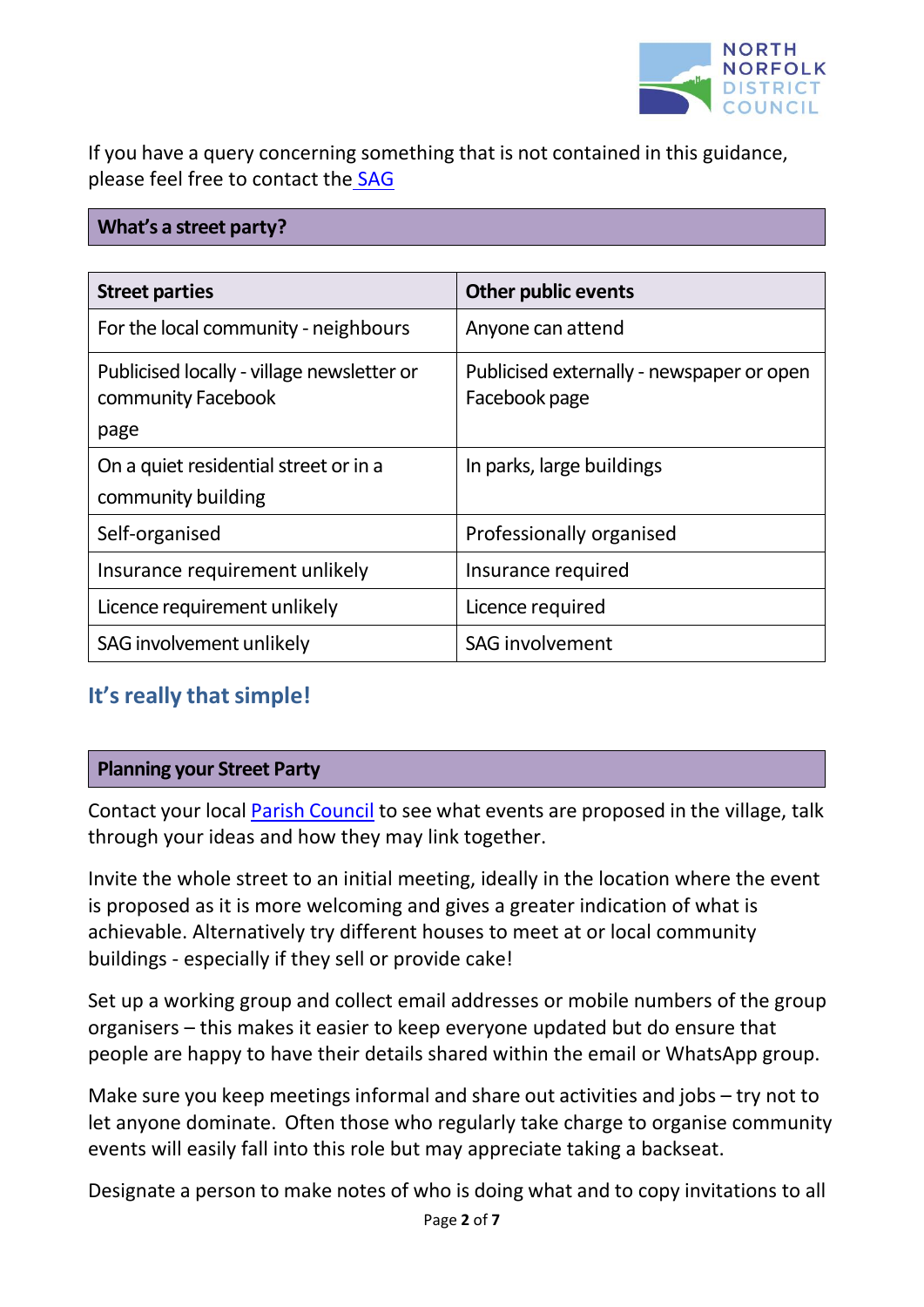

If you have a query concerning something that is not contained in this guidance, please feel free to contact the [SAG](mailto:SAG@north-norfolk.gov.uk)

### **What's a street party?**

| <b>Street parties</b>                                                    | <b>Other public events</b>                                 |
|--------------------------------------------------------------------------|------------------------------------------------------------|
| For the local community - neighbours                                     | Anyone can attend                                          |
| Publicised locally - village newsletter or<br>community Facebook<br>page | Publicised externally - newspaper or open<br>Facebook page |
| On a quiet residential street or in a                                    | In parks, large buildings                                  |
| community building                                                       |                                                            |
| Self-organised                                                           | Professionally organised                                   |
| Insurance requirement unlikely                                           | Insurance required                                         |
| Licence requirement unlikely                                             | Licence required                                           |
| SAG involvement unlikely                                                 | <b>SAG involvement</b>                                     |

## **It's** really that simple!

#### **Planning your Street Party**

Contact your local Parish [Council](https://modgov.north-norfolk.gov.uk/mgParishCouncilDetails.aspx?bcr=1) to see what events are proposed in the village, talk through your ideas and how they may link together.

Invite the whole street to an initial meeting, ideally in the location where the event is proposed as it is more welcoming and gives a greater indication of what is achievable. Alternatively try different houses to meet at or local community buildings - especially if they sell or provide cake!

Set up a working group and collect email addresses or mobile numbers of the group organisers – this makes it easier to keep everyone updated but do ensure that people are happy to have their details shared within the email or WhatsApp group.

Make sure you keep meetings informal and share out activities and jobs – try not to let anyone dominate. Often those who regularly take charge to organise community events will easily fall into this role but may appreciate taking a backseat.

Designate a person to make notes of who is doing what and to copy invitations to all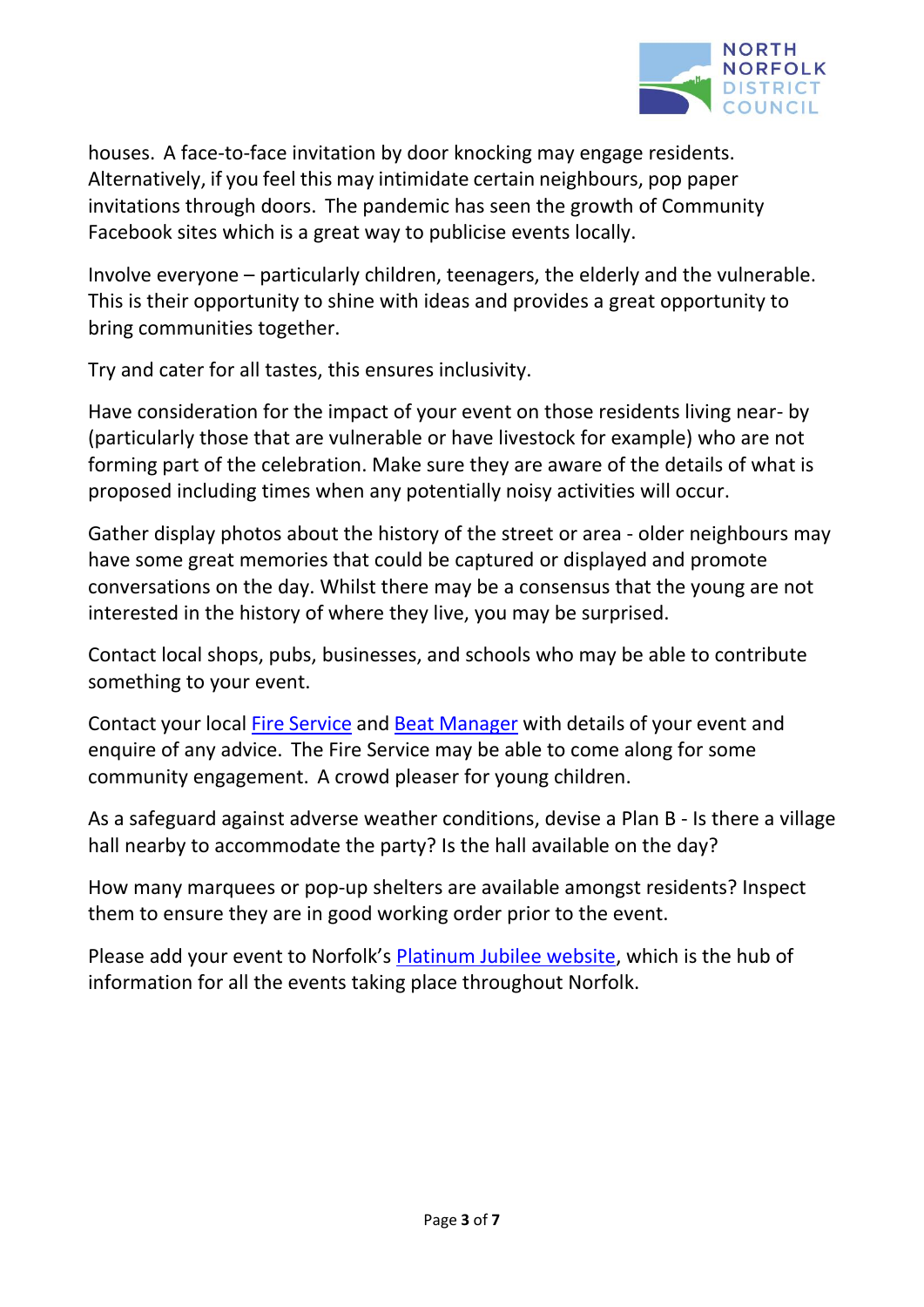

houses. A face-to-face invitation by door knocking may engage residents. Alternatively, if you feel this may intimidate certain neighbours, pop paper invitations through doors. The pandemic has seen the growth of Community Facebook sites which is a great way to publicise events locally.

Involve everyone – particularly children, teenagers, the elderly and the vulnerable. This is their opportunity to shine with ideas and provides a great opportunity to bring communities together.

Try and cater for all tastes, this ensures inclusivity.

Have consideration for the impact of your event on those residents living near- by (particularly those that are vulnerable or have livestock for example) who are not forming part of the celebration. Make sure they are aware of the details of what is proposed including times when any potentially noisy activities will occur.

Gather display photos about the history of the street or area - older neighbours may have some great memories that could be captured or displayed and promote conversations on the day. Whilst there may be a consensus that the young are not interested in the history of where they live, you may be surprised.

Contact local shops, pubs, businesses, and schools who may be able to contribute something to your event.

Contact your local Fire [Service](https://www.norfolk.gov.uk/safety/norfolk-fire-and-rescue-service) and Beat [Manager](https://www.norfolk.police.uk/your-area) with details of your event and enquire of any advice. The Fire Service may be able to come along for some community engagement. A crowd pleaser for young children.

As a safeguard against adverse weather conditions, devise a Plan B - Is there a village hall nearby to accommodate the party? Is the hall available on the day?

How many marquees or pop-up shelters are available amongst residents? Inspect them to ensure they are in good working order prior to the event.

Please add your event to Norfolk's [Platinum Jubilee website,](https://www.platinumjubileenorfolk.org/) which is the hub of information for all the events taking place throughout Norfolk.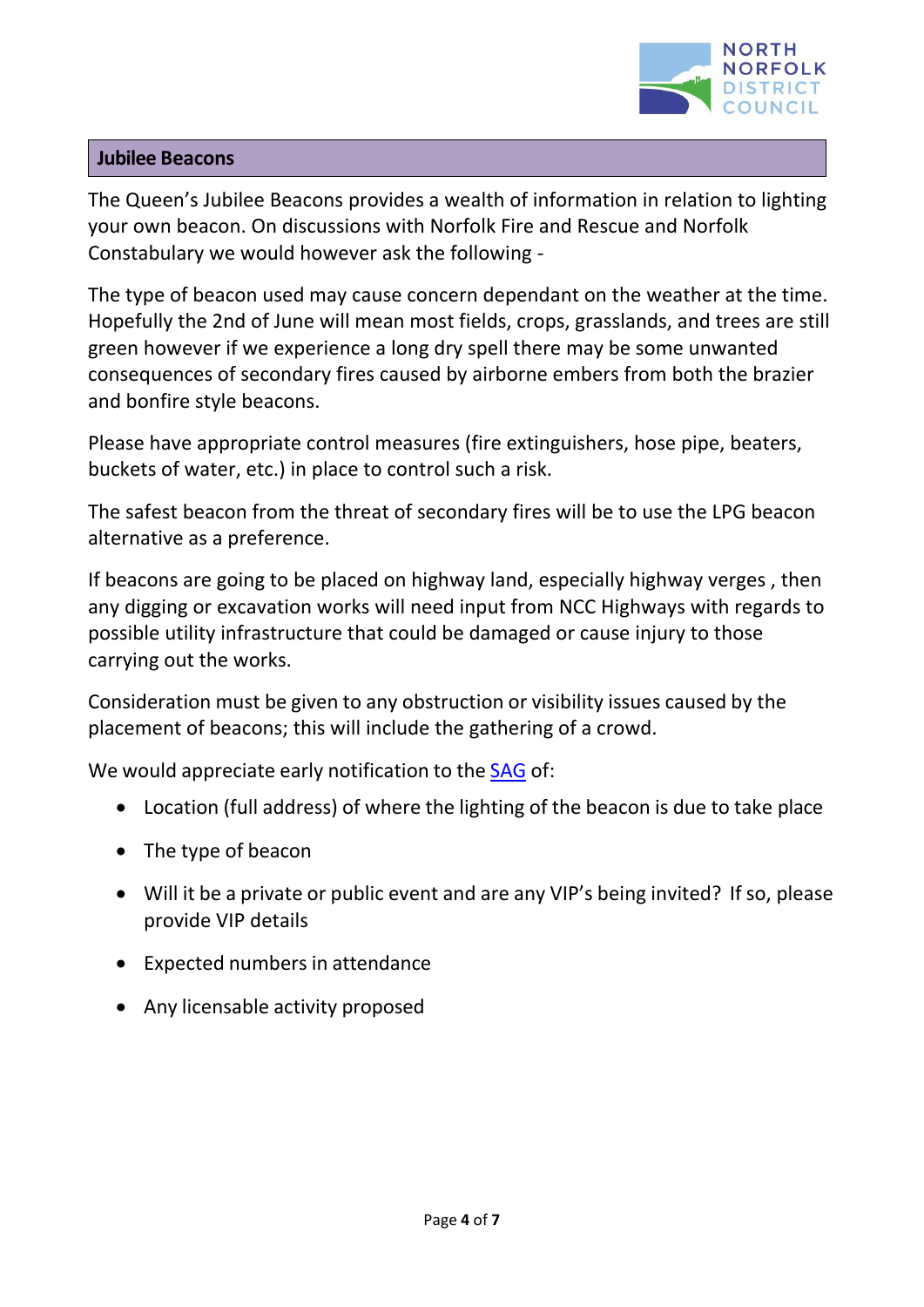

#### **Jubilee Beacons**

[The Queen's Jubilee Beacons](https://www.queensjubileebeacons.com/) provides a wealth of information in relation to lighting your own beacon. On discussions with Norfolk Fire and Rescue and Norfolk Constabulary we would however ask the following -

The type of beacon used may cause concern dependant on the weather at the time. Hopefully the 2nd of June will mean most fields, crops, grasslands, and trees are still green however if we experience a long dry spell there may be some unwanted consequences of secondary fires caused by airborne embers from both the brazier and bonfire style beacons.

Please have appropriate control measures (fire extinguishers, hose pipe, beaters, buckets of water, etc.) in place to control such a risk.

The safest beacon from the threat of secondary fires will be to use the LPG beacon alternative as a preference.

If beacons are going to be placed on highway land, especially highway verges , then any digging or excavation works will need input from [NCC Highways w](https://www.norfolk.gov.uk/business/licences-and-permits/highways-licences-and-permits)ith regards to possible utility infrastructure that could be damaged or cause injury to those carrying out the works.

Consideration must be given to any obstruction or visibility issues caused by the placement of beacons; this will include the gathering of a crowd.

We would appreciate early notification to the [SAG](mailto:SAG@north-norfolk.gov.uk) of:

- Location (full address) of where the lighting of the beacon is due to take place
- The type of beacon
- Will it be a private or public event and are any VIP's being invited? If so, please provide VIP details
- Expected numbers in attendance
- Any licensable activity proposed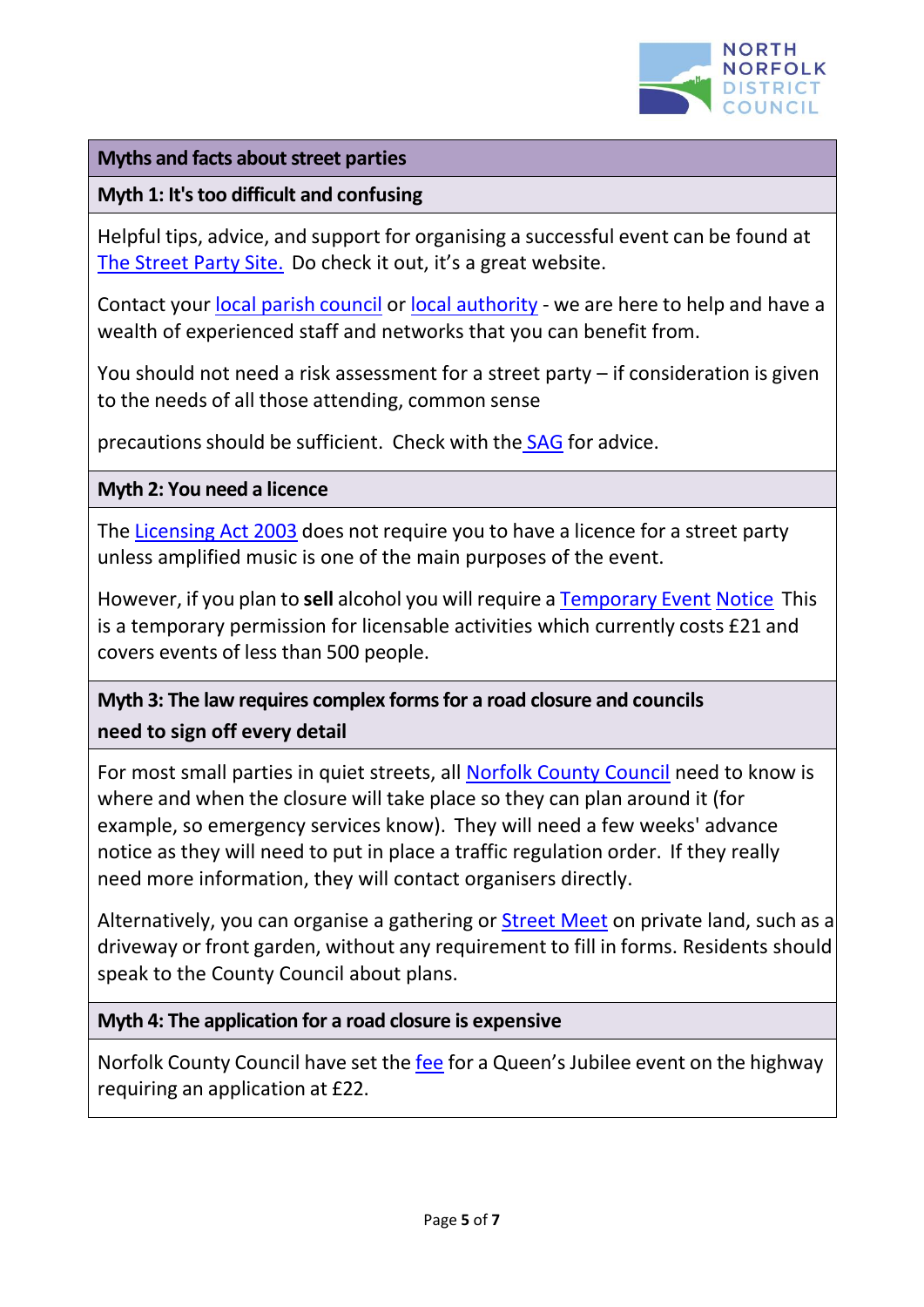

#### **Myths** and facts about street parties

### **Myth 1: It'stoo difficult and confusing**

Helpful tips, advice, and support for organising a successful event can be found at [The Street Party Site.](https://www.streetparty.org.uk/) Do check it out, it's a great website.

Contact your local parish [council](https://modgov.north-norfolk.gov.uk/mgParishCouncilDetails.aspx?bcr=1) or local [authority](https://www.north-norfolk.gov.uk/contact-us/) - we are here to help and have a wealth of experienced staff and networks that you can benefit from.

You should not need a risk assessment for a street party – if consideration is given to the needs of all those attending, common sense

precautions should be sufficient. Check with the [SAG](mailto:SAG@north-norfolk.gov.uk) for advice.

**Myth 2: You need a licence**

The [Licensing](https://www.legislation.gov.uk/ukpga/2003/17/contents) Act 2003 does not require you to have a licence for a street party unless amplified music is one of the main purposes of the event.

However, if you plan to **sell** alcohol you will require a [Temporary](https://www.north-norfolk.gov.uk/tasks/licensing/alcohol-and-entertainment-licensing-act-2003/temporary-event-notices/apply-for-a-temporary-event-notices-tens/) [Event](https://www.north-norfolk.gov.uk/tasks/licensing/alcohol-and-entertainment-licensing-act-2003/temporary-event-notices/apply-for-a-temporary-event-notices-tens/) [Notice](https://www.north-norfolk.gov.uk/tasks/licensing/alcohol-and-entertainment-licensing-act-2003/temporary-event-notices/apply-for-a-temporary-event-notices-tens/) This is a temporary permission for licensable activities which currently costs £21 and covers events of less than 500 people.

# **Myth 3: The law requires complex forms for a road closure and councils need to sign off every detail**

For most small parties in quiet streets, all [Norfolk County Council](https://www.norfolk.gov.uk/business/licences-and-permits/highways-licences-and-permits) need to know is where and when the closure will take place so they can plan around it (for example, so emergency services know). They will need a few weeks' advance notice as they will need to put in place a traffic regulation order. If they really need more information, they will contact organisers directly.

Alternatively, you can organise a gathering or [Street](https://www.streetparty.org.uk/guide/street-meet/) Meet on private land, such as a driveway or front garden, without any requirement to fill in forms. Residents should speak to the County Council about plans.

## **Myth 4: The application for a road closure is expensive**

Norfolk County Council have set the [fee](https://www.norfolk.gov.uk/business/licences-and-permits/highways-licences-and-permits/highways-services-fees-and-charges) for a Queen's Jubilee event on the highway requiring an application at £22.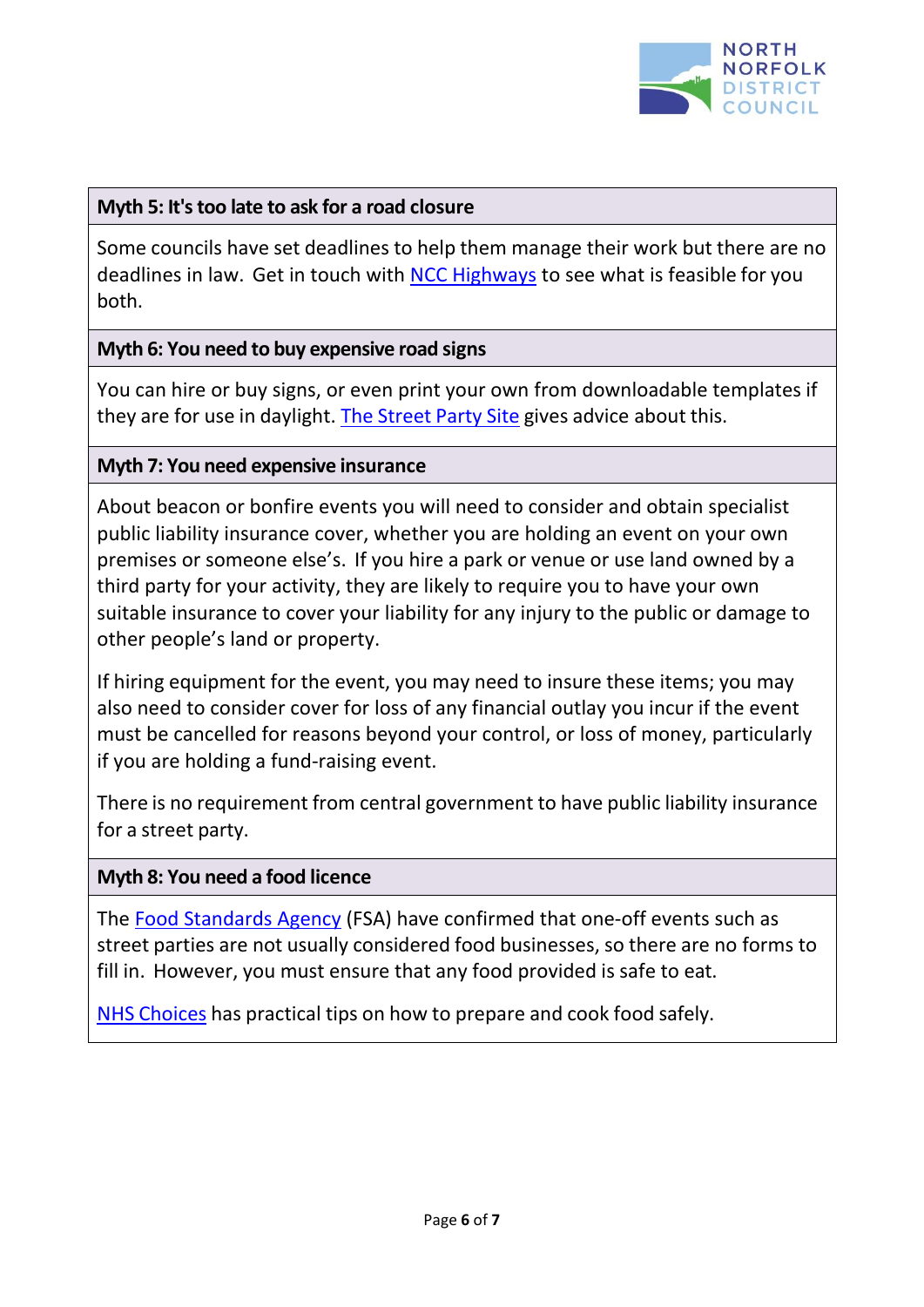

#### **Myth 5: It'stoo late to ask for a road closure**

Some councils have set deadlines to help them manage their work but there are no deadlines in law. Get in touch with [NCC Highways](https://www.norfolk.gov.uk/business/licences-and-permits/highways-licences-and-permits) to see what is feasible for you both.

#### **Myth 6: You need to buy expensive road signs**

You can hire or buy signs, or even print your own from downloadable templates if they are for use in daylight. The [Street](https://www.streetparty.org.uk/road-closures/#Road_Closure_Signs) Party Site gives advice about this.

#### **Myth 7: You need expensive insurance**

About beacon or bonfire events you will need to consider and obtain specialist public liability insurance cover, whether you are holding an event on your own premises or someone else's. If you hire a park or venue or use land owned by a third party for your activity, they are likely to require you to have your own suitable insurance to cover your liability for any injury to the public or damage to other people's land or property.

If hiring equipment for the event, you may need to insure these items; you may also need to consider cover for loss of any financial outlay you incur if the event must be cancelled for reasons beyond your control, or loss of money, particularly if you are holding a fund-raising event.

There is no requirement from central government to have public liability insurance for a street party.

#### **Myth 8: You need a food licence**

The [Food Standards Agency](https://www.food.gov.uk/safety-hygiene/providing-food-at-community-and-charity-events) (FSA) have confirmed that one-off events such as street parties are not usually considered food businesses, so there are no forms to fill in. However, you must ensure that any food provided is safe to eat.

NHS [Choices](https://www.nhs.uk/live-well/eat-well/how-to-prepare-and-cook-food-safely/) has practical tips on how to prepare and cook food safely.